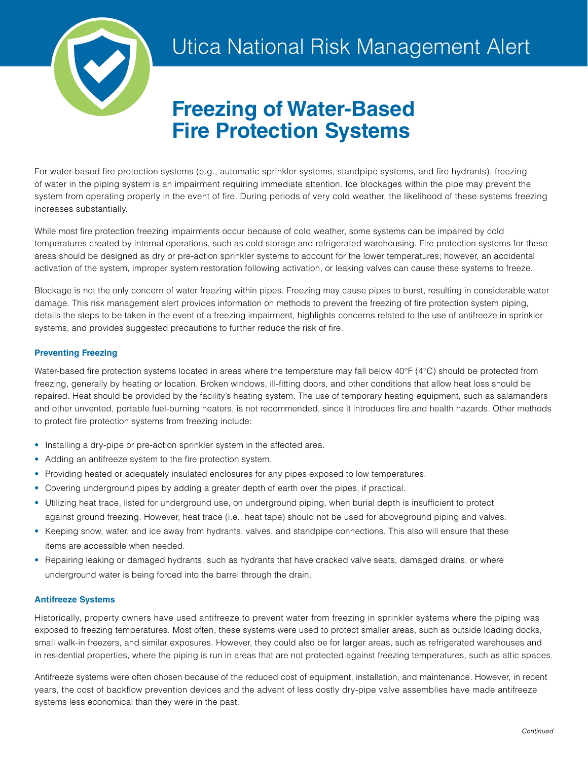

# **Freezing of Water-Based Fire Protection Systems**

For water-based fire protection systems (e.g., automatic sprinkler systems, standpipe systems, and fire hydrants), freezing of water in the piping system is an impairment requiring immediate attention. Ice blockages within the pipe may prevent the system from operating properly in the event of fire. During periods of very cold weather, the likelihood of these systems freezing increases substantially.

While most fire protection freezing impairments occur because of cold weather, some systems can be impaired by cold temperatures created by internal operations, such as cold storage and refrigerated warehousing. Fire protection systems for these areas should be designed as dry or pre-action sprinkler systems to account for the lower temperatures; however, an accidental activation of the system, improper system restoration following activation, or leaking valves can cause these systems to freeze.

Blockage is not the only concern of water freezing within pipes. Freezing may cause pipes to burst, resulting in considerable water damage. This risk management alert provides information on methods to prevent the freezing of fire protection system piping, details the steps to be taken in the event of a freezing impairment, highlights concerns related to the use of antifreeze in sprinkler systems, and provides suggested precautions to further reduce the risk of fire.

# **Preventing Freezing**

Water-based fire protection systems located in areas where the temperature may fall below 40°F (4°C) should be protected from freezing, generally by heating or location. Broken windows, ill-fitting doors, and other conditions that allow heat loss should be repaired. Heat should be provided by the facility's heating system. The use of temporary heating equipment, such as salamanders and other unvented, portable fuel-burning heaters, is not recommended, since it introduces fire and health hazards. Other methods to protect fire protection systems from freezing include:

- Installing a dry-pipe or pre-action sprinkler system in the affected area.
- Adding an antifreeze system to the fire protection system.
- Providing heated or adequately insulated enclosures for any pipes exposed to low temperatures.
- Covering underground pipes by adding a greater depth of earth over the pipes, if practical.
- Utilizing heat trace, listed for underground use, on underground piping, when burial depth is insufficient to protect against ground freezing. However, heat trace (i.e., heat tape) should not be used for aboveground piping and valves.
- Keeping snow, water, and ice away from hydrants, valves, and standpipe connections. This also will ensure that these items are accessible when needed.
- Repairing leaking or damaged hydrants, such as hydrants that have cracked valve seats, damaged drains, or where underground water is being forced into the barrel through the drain.

# **Antifreeze Systems**

Historically, property owners have used antifreeze to prevent water from freezing in sprinkler systems where the piping was exposed to freezing temperatures. Most often, these systems were used to protect smaller areas, such as outside loading docks, small walk-in freezers, and similar exposures. However, they could also be for larger areas, such as refrigerated warehouses and in residential properties, where the piping is run in areas that are not protected against freezing temperatures, such as attic spaces.

Antifreeze systems were often chosen because of the reduced cost of equipment, installation, and maintenance. However, in recent years, the cost of backflow prevention devices and the advent of less costly dry-pipe valve assemblies have made antifreeze systems less economical than they were in the past.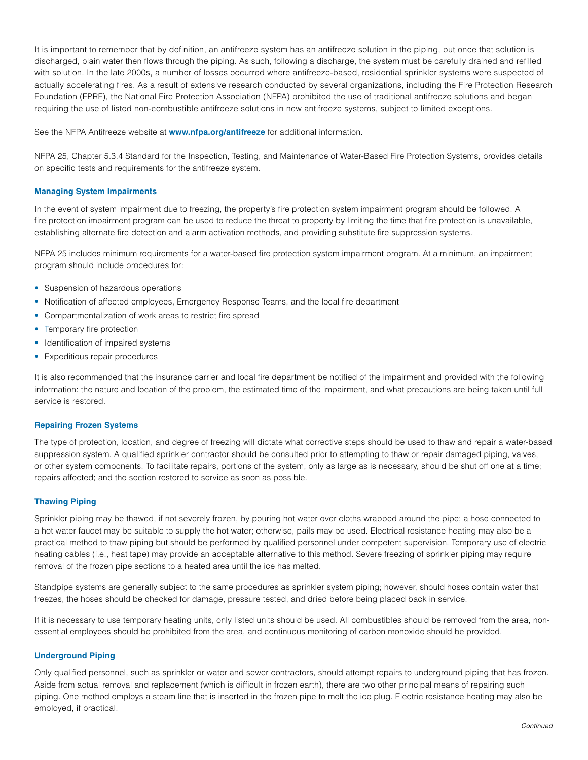It is important to remember that by definition, an antifreeze system has an antifreeze solution in the piping, but once that solution is discharged, plain water then flows through the piping. As such, following a discharge, the system must be carefully drained and refilled with solution. In the late 2000s, a number of losses occurred where antifreeze-based, residential sprinkler systems were suspected of actually accelerating fires. As a result of extensive research conducted by several organizations, including the Fire Protection Research Foundation (FPRF), the National Fire Protection Association (NFPA) prohibited the use of traditional antifreeze solutions and began requiring the use of listed non-combustible antifreeze solutions in new antifreeze systems, subject to limited exceptions.

See the NFPA Antifreeze website at **[www.nfpa.org/antifreeze](http://www.nfpa.org/antifreeze)** for additional information.

NFPA 25, Chapter 5.3.4 Standard for the Inspection, Testing, and Maintenance of Water-Based Fire Protection Systems, provides details on specific tests and requirements for the antifreeze system.

## **Managing System Impairments**

In the event of system impairment due to freezing, the property's fire protection system impairment program should be followed. A fire protection impairment program can be used to reduce the threat to property by limiting the time that fire protection is unavailable, establishing alternate fire detection and alarm activation methods, and providing substitute fire suppression systems.

NFPA 25 includes minimum requirements for a water-based fire protection system impairment program. At a minimum, an impairment program should include procedures for:

- Suspension of hazardous operations
- Notification of affected employees, Emergency Response Teams, and the local fire department
- Compartmentalization of work areas to restrict fire spread
- Temporary fire protection
- Identification of impaired systems
- Expeditious repair procedures

It is also recommended that the insurance carrier and local fire department be notified of the impairment and provided with the following information: the nature and location of the problem, the estimated time of the impairment, and what precautions are being taken until full service is restored.

#### **Repairing Frozen Systems**

The type of protection, location, and degree of freezing will dictate what corrective steps should be used to thaw and repair a water-based suppression system. A qualified sprinkler contractor should be consulted prior to attempting to thaw or repair damaged piping, valves, or other system components. To facilitate repairs, portions of the system, only as large as is necessary, should be shut off one at a time; repairs affected; and the section restored to service as soon as possible.

### **Thawing Piping**

Sprinkler piping may be thawed, if not severely frozen, by pouring hot water over cloths wrapped around the pipe; a hose connected to a hot water faucet may be suitable to supply the hot water; otherwise, pails may be used. Electrical resistance heating may also be a practical method to thaw piping but should be performed by qualified personnel under competent supervision. Temporary use of electric heating cables (i.e., heat tape) may provide an acceptable alternative to this method. Severe freezing of sprinkler piping may require removal of the frozen pipe sections to a heated area until the ice has melted.

Standpipe systems are generally subject to the same procedures as sprinkler system piping; however, should hoses contain water that freezes, the hoses should be checked for damage, pressure tested, and dried before being placed back in service.

If it is necessary to use temporary heating units, only listed units should be used. All combustibles should be removed from the area, nonessential employees should be prohibited from the area, and continuous monitoring of carbon monoxide should be provided.

#### **Underground Piping**

Only qualified personnel, such as sprinkler or water and sewer contractors, should attempt repairs to underground piping that has frozen. Aside from actual removal and replacement (which is difficult in frozen earth), there are two other principal means of repairing such piping. One method employs a steam line that is inserted in the frozen pipe to melt the ice plug. Electric resistance heating may also be employed, if practical.